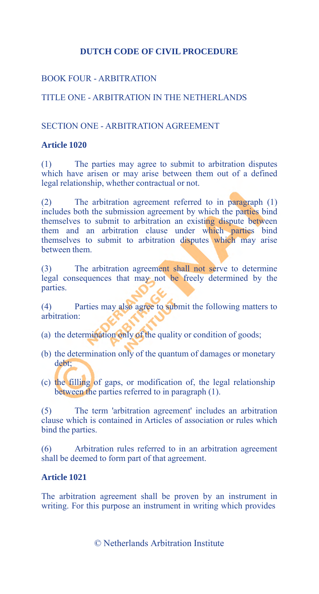# BOOK FOUR - ARBITRATION

# TITLE ONE - ARBITRATION IN THE NETHERLANDS

## SECTION ONE - ARBITRATION AGREEMENT

#### **Article 1020**

(1) The parties may agree to submit to arbitration disputes which have arisen or may arise between them out of a defined legal relationship, whether contractual or not.

(2) The arbitration agreement referred to in paragraph (1) includes both the submission agreement by which the parties bind themselves to submit to arbitration an existing dispute between them and an arbitration clause under which parties bind themselves to submit to arbitration disputes which may arise between them.

(3) The arbitration agreement shall not serve to determine legal consequences that may not be freely determined by the parties.

(4) Parties may also agree to submit the following matters to arbitration:

- (a) the determination only of the quality or condition of goods;
- (b) the determination only of the quantum of damages or monetary debt;
- (c) the filling of gaps, or modification of, the legal relationship between the parties referred to in paragraph (1).

(5) The term 'arbitration agreement' includes an arbitration clause which is contained in Articles of association or rules which bind the parties.

(6) Arbitration rules referred to in an arbitration agreement shall be deemed to form part of that agreement.

## **Article 1021**

The arbitration agreement shall be proven by an instrument in writing. For this purpose an instrument in writing which provides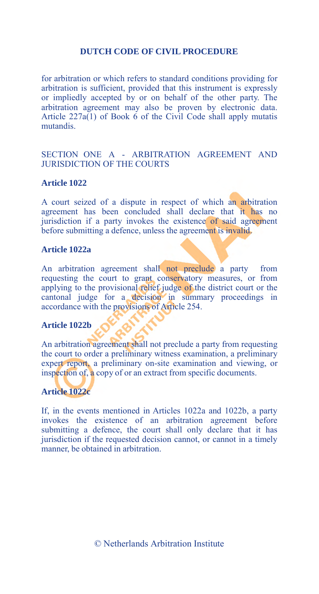for arbitration or which refers to standard conditions providing for arbitration is sufficient, provided that this instrument is expressly or impliedly accepted by or on behalf of the other party. The arbitration agreement may also be proven by electronic data. Article  $227a(1)$  of Book 6 of the Civil Code shall apply mutatis mutandis.

## SECTION ONE A - ARBITRATION AGREEMENT AND JURISDICTION OF THE COURTS

#### **Article 1022**

A court seized of a dispute in respect of which an arbitration agreement has been concluded shall declare that it has no jurisdiction if a party invokes the existence of said agreement before submitting a defence, unless the agreement is invalid.

#### **Article 1022a**

An arbitration agreement shall not preclude a party from requesting the court to grant conservatory measures, or from applying to the provisional relief judge of the district court or the cantonal judge for a decision in summary proceedings in accordance with the provisions of Article 254.

## **Article 1022b**

An arbitration agreement shall not preclude a party from requesting the court to order a preliminary witness examination, a preliminary expert report, a preliminary on-site examination and viewing, or inspection of, a copy of or an extract from specific documents.

#### **Article 1022c**

If, in the events mentioned in Articles 1022a and 1022b, a party invokes the existence of an arbitration agreement before submitting a defence, the court shall only declare that it has jurisdiction if the requested decision cannot, or cannot in a timely manner, be obtained in arbitration.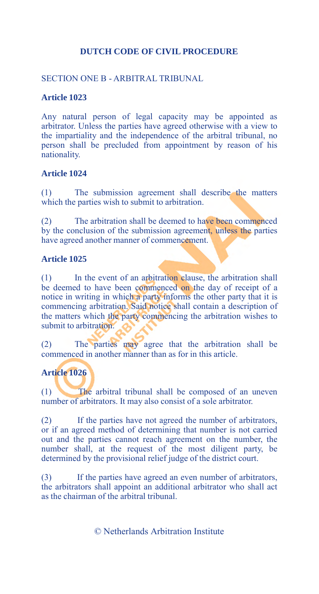# SECTION ONE B - ARBITRAL TRIBUNAL

#### **Article 1023**

Any natural person of legal capacity may be appointed as arbitrator. Unless the parties have agreed otherwise with a view to the impartiality and the independence of the arbitral tribunal, no person shall be precluded from appointment by reason of his nationality.

#### **Article 1024**

(1) The submission agreement shall describe the matters which the parties wish to submit to arbitration.

(2) The arbitration shall be deemed to have been commenced by the conclusion of the submission agreement, unless the parties have agreed another manner of commencement.

#### **Article 1025**

(1) In the event of an arbitration clause, the arbitration shall be deemed to have been commenced on the day of receipt of a notice in writing in which a party informs the other party that it is commencing arbitration. Said notice shall contain a description of the matters which the party commencing the arbitration wishes to submit to arbitration.

(2) The parties may agree that the arbitration shall be commenced in another manner than as for in this article.

# **Article 1026**

(1) The arbitral tribunal shall be composed of an uneven number of arbitrators. It may also consist of a sole arbitrator.

(2) If the parties have not agreed the number of arbitrators, or if an agreed method of determining that number is not carried out and the parties cannot reach agreement on the number, the number shall, at the request of the most diligent party, be determined by the provisional relief judge of the district court.

(3) If the parties have agreed an even number of arbitrators, the arbitrators shall appoint an additional arbitrator who shall act as the chairman of the arbitral tribunal.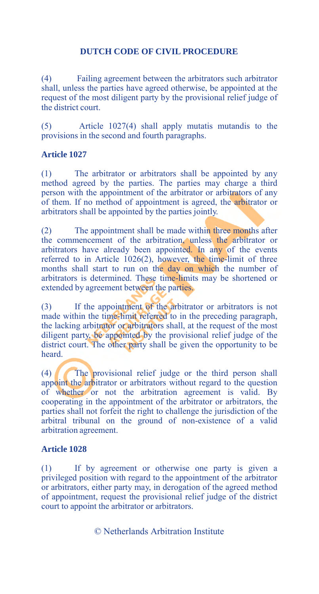Failing agreement between the arbitrators such arbitrator shall, unless the parties have agreed otherwise, be appointed at the request of the most diligent party by the provisional relief judge of the district court.

(5) Article 1027(4) shall apply mutatis mutandis to the provisions in the second and fourth paragraphs.

## **Article 1027**

(1) The arbitrator or arbitrators shall be appointed by any method agreed by the parties. The parties may charge a third person with the appointment of the arbitrator or arbitrators of any of them. If no method of appointment is agreed, the arbitrator or arbitrators shall be appointed by the parties jointly.

(2) The appointment shall be made within three months after the commencement of the arbitration, unless the arbitrator or arbitrators have already been appointed. In any of the events referred to in Article 1026(2), however, the time-limit of three months shall start to run on the day on which the number of arbitrators is determined. These time-limits may be shortened or extended by agreement between the parties.

(3) If the appointment of the arbitrator or arbitrators is not made within the time-limit referred to in the preceding paragraph, the lacking arbitrator or arbitrators shall, at the request of the most diligent party, be appointed by the provisional relief judge of the district court. The other party shall be given the opportunity to be heard.

(4) The provisional relief judge or the third person shall appoint the arbitrator or arbitrators without regard to the question of whether or not the arbitration agreement is valid. By cooperating in the appointment of the arbitrator or arbitrators, the parties shall not forfeit the right to challenge the jurisdiction of the arbitral tribunal on the ground of non-existence of a valid arbitration agreement.

## **Article 1028**

(1) If by agreement or otherwise one party is given a privileged position with regard to the appointment of the arbitrator or arbitrators, either party may, in derogation of the agreed method of appointment, request the provisional relief judge of the district court to appoint the arbitrator or arbitrators.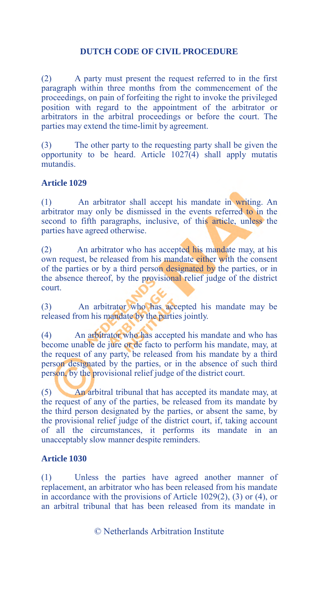(2) A party must present the request referred to in the first paragraph within three months from the commencement of the proceedings, on pain of forfeiting the right to invoke the privileged position with regard to the appointment of the arbitrator or arbitrators in the arbitral proceedings or before the court. The parties may extend the time-limit by agreement.

(3) The other party to the requesting party shall be given the opportunity to be heard. Article 1027(4) shall apply mutatis mutandis.

#### **Article 1029**

(1) An arbitrator shall accept his mandate in writing. An arbitrator may only be dismissed in the events referred to in the second to fifth paragraphs, inclusive, of this article, unless the parties have agreed otherwise.

(2) An arbitrator who has accepted his mandate may, at his own request, be released from his mandate either with the consent of the parties or by a third person designated by the parties, or in the absence thereof, by the provisional relief judge of the district court.

(3) An arbitrator who has accepted his mandate may be released from his mandate by the parties jointly.

(4) An arbitrator who has accepted his mandate and who has become unable de jure or de facto to perform his mandate, may, at the request of any party, be released from his mandate by a third person designated by the parties, or in the absence of such third person, by the provisional relief judge of the district court.

(5) An arbitral tribunal that has accepted its mandate may, at the request of any of the parties, be released from its mandate by the third person designated by the parties, or absent the same, by the provisional relief judge of the district court, if, taking account of all the circumstances, it performs its mandate in an unacceptably slow manner despite reminders.

#### **Article 1030**

(1) Unless the parties have agreed another manner of replacement, an arbitrator who has been released from his mandate in accordance with the provisions of Article 1029(2), (3) or (4), or an arbitral tribunal that has been released from its mandate in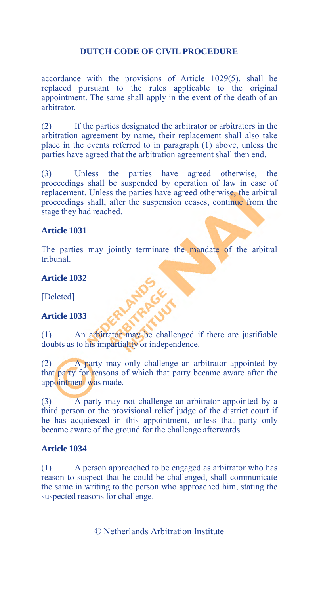accordance with the provisions of Article 1029(5), shall be replaced pursuant to the rules applicable to the original appointment. The same shall apply in the event of the death of an arbitrator.

(2) If the parties designated the arbitrator or arbitrators in the arbitration agreement by name, their replacement shall also take place in the events referred to in paragraph (1) above, unless the parties have agreed that the arbitration agreement shall then end.

(3) Unless the parties have agreed otherwise, the proceedings shall be suspended by operation of law in case of replacement. Unless the parties have agreed otherwise, the arbitral proceedings shall, after the suspension ceases, continue from the stage they had reached.

## **Article 1031**

The parties may jointly terminate the mandate of the arbitral tribunal.

#### **Article 1032**

[Deleted]

## **Article 1033**

(1) An arbitrator may be challenged if there are justifiable doubts as to his impartiality or independence.

(2) A party may only challenge an arbitrator appointed by that party for reasons of which that party became aware after the appointment was made.

(3) A party may not challenge an arbitrator appointed by a third person or the provisional relief judge of the district court if he has acquiesced in this appointment, unless that party only became aware of the ground for the challenge afterwards.

# **Article 1034**

(1) A person approached to be engaged as arbitrator who has reason to suspect that he could be challenged, shall communicate the same in writing to the person who approached him, stating the suspected reasons for challenge.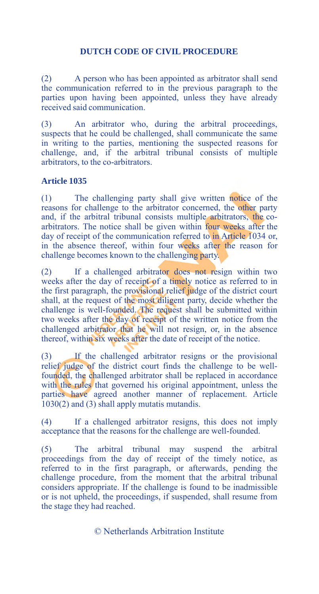(2) A person who has been appointed as arbitrator shall send the communication referred to in the previous paragraph to the parties upon having been appointed, unless they have already received said communication.

(3) An arbitrator who, during the arbitral proceedings, suspects that he could be challenged, shall communicate the same in writing to the parties, mentioning the suspected reasons for challenge, and, if the arbitral tribunal consists of multiple arbitrators, to the co-arbitrators.

#### **Article 1035**

(1) The challenging party shall give written notice of the reasons for challenge to the arbitrator concerned, the other party and, if the arbitral tribunal consists multiple arbitrators, the coarbitrators. The notice shall be given within four weeks after the day of receipt of the communication referred to in Article 1034 or, in the absence thereof, within four weeks after the reason for challenge becomes known to the challenging party.

(2) If a challenged arbitrator does not resign within two weeks after the day of receipt of a timely notice as referred to in the first paragraph, the provisional relief judge of the district court shall, at the request of the most diligent party, decide whether the challenge is well-founded. The request shall be submitted within two weeks after the day of receipt of the written notice from the challenged arbitrator that he will not resign, or, in the absence thereof, within six weeks after the date of receipt of the notice.

(3) If the challenged arbitrator resigns or the provisional relief judge of the district court finds the challenge to be wellfounded, the challenged arbitrator shall be replaced in accordance with the rules that governed his original appointment, unless the parties have agreed another manner of replacement. Article 1030(2) and (3) shall apply mutatis mutandis.

(4) If a challenged arbitrator resigns, this does not imply acceptance that the reasons for the challenge are well-founded.

(5) The arbitral tribunal may suspend the arbitral proceedings from the day of receipt of the timely notice, as referred to in the first paragraph, or afterwards, pending the challenge procedure, from the moment that the arbitral tribunal considers appropriate. If the challenge is found to be inadmissible or is not upheld, the proceedings, if suspended, shall resume from the stage they had reached.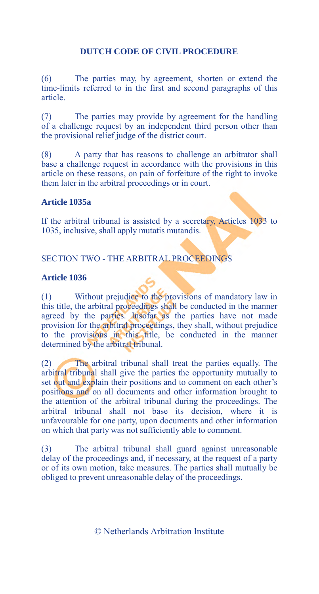(6) The parties may, by agreement, shorten or extend the time-limits referred to in the first and second paragraphs of this article.

(7) The parties may provide by agreement for the handling of a challenge request by an independent third person other than the provisional relief judge of the district court.

(8) A party that has reasons to challenge an arbitrator shall base a challenge request in accordance with the provisions in this article on these reasons, on pain of forfeiture of the right to invoke them later in the arbitral proceedings or in court.

## **Article 1035a**

If the arbitral tribunal is assisted by a secretary, Articles 1033 to 1035, inclusive, shall apply mutatis mutandis.

# SECTION TWO - THE ARBITRAL PROCEEDINGS

#### **Article 1036**

(1) Without prejudice to the provisions of mandatory law in this title, the arbitral proceedings shall be conducted in the manner agreed by the parties. Insofar as the parties have not made provision for the arbitral proceedings, they shall, without prejudice to the provisions in this title, be conducted in the manner determined by the arbitral tribunal.

(2) The arbitral tribunal shall treat the parties equally. The arbitral tribunal shall give the parties the opportunity mutually to set out and explain their positions and to comment on each other's positions and on all documents and other information brought to the attention of the arbitral tribunal during the proceedings. The arbitral tribunal shall not base its decision, where it is unfavourable for one party, upon documents and other information on which that party was not sufficiently able to comment.

(3) The arbitral tribunal shall guard against unreasonable delay of the proceedings and, if necessary, at the request of a party or of its own motion, take measures. The parties shall mutually be obliged to prevent unreasonable delay of the proceedings.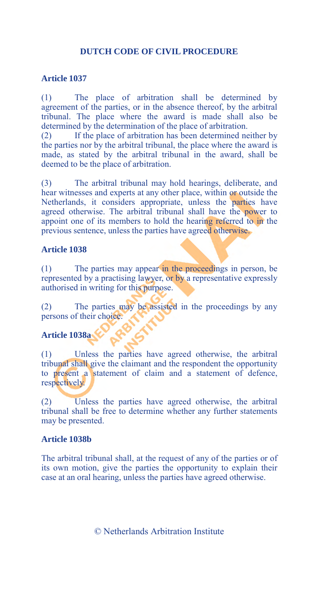#### **Article 1037**

(1) The place of arbitration shall be determined by agreement of the parties, or in the absence thereof, by the arbitral tribunal. The place where the award is made shall also be determined by the determination of the place of arbitration.

(2) If the place of arbitration has been determined neither by the parties nor by the arbitral tribunal, the place where the award is made, as stated by the arbitral tribunal in the award, shall be deemed to be the place of arbitration.

(3) The arbitral tribunal may hold hearings, deliberate, and hear witnesses and experts at any other place, within or outside the Netherlands, it considers appropriate, unless the parties have agreed otherwise. The arbitral tribunal shall have the power to appoint one of its members to hold the hearing referred to in the previous sentence, unless the parties have agreed otherwise.

#### **Article 1038**

(1) The parties may appear in the proceedings in person, be represented by a practising lawyer, or by a representative expressly authorised in writing for this purpose.

(2) The parties may be assisted in the proceedings by any persons of their choice.

## **Article 1038a**

(1) Unless the parties have agreed otherwise, the arbitral tribunal shall give the claimant and the respondent the opportunity to present a statement of claim and a statement of defence, respectively.

(2) Unless the parties have agreed otherwise, the arbitral tribunal shall be free to determine whether any further statements may be presented.

#### **Article 1038b**

The arbitral tribunal shall, at the request of any of the parties or of its own motion, give the parties the opportunity to explain their case at an oral hearing, unless the parties have agreed otherwise.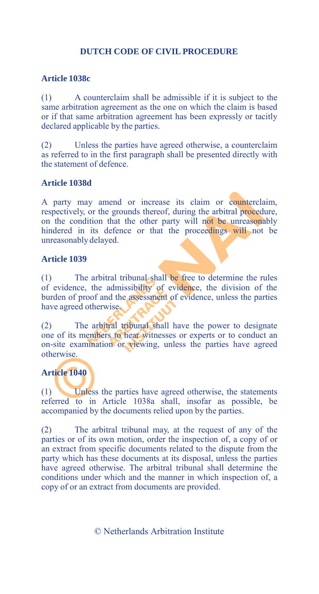## **Article 1038c**

(1) A counterclaim shall be admissible if it is subject to the same arbitration agreement as the one on which the claim is based or if that same arbitration agreement has been expressly or tacitly declared applicable by the parties.

(2) Unless the parties have agreed otherwise, a counterclaim as referred to in the first paragraph shall be presented directly with the statement of defence.

#### **Article 1038d**

A party may amend or increase its claim or counterclaim, respectively, or the grounds thereof, during the arbitral procedure, on the condition that the other party will not be unreasonably hindered in its defence or that the proceedings will not be unreasonably delayed.

#### **Article 1039**

(1) The arbitral tribunal shall be free to determine the rules of evidence, the admissibility of evidence, the division of the burden of proof and the assessment of evidence, unless the parties have agreed otherwise.

(2) The arbitral tribunal shall have the power to designate one of its members to hear witnesses or experts or to conduct an on-site examination or viewing, unless the parties have agreed otherwise.

# **Article 1040**

(1) Unless the parties have agreed otherwise, the statements referred to in Article 1038a shall, insofar as possible, be accompanied by the documents relied upon by the parties.

(2) The arbitral tribunal may, at the request of any of the parties or of its own motion, order the inspection of, a copy of or an extract from specific documents related to the dispute from the party which has these documents at its disposal, unless the parties have agreed otherwise. The arbitral tribunal shall determine the conditions under which and the manner in which inspection of, a copy of or an extract from documents are provided.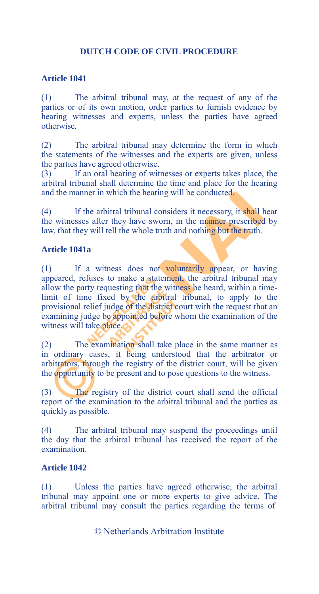## **Article 1041**

(1) The arbitral tribunal may, at the request of any of the parties or of its own motion, order parties to furnish evidence by hearing witnesses and experts, unless the parties have agreed otherwise.

(2) The arbitral tribunal may determine the form in which the statements of the witnesses and the experts are given, unless the parties have agreed otherwise.

(3) If an oral hearing of witnesses or experts takes place, the arbitral tribunal shall determine the time and place for the hearing and the manner in which the hearing will be conducted.

(4) If the arbitral tribunal considers it necessary, it shall hear the witnesses after they have sworn, in the manner prescribed by law, that they will tell the whole truth and nothing but the truth.

#### **Article 1041a**

(1) If a witness does not voluntarily appear, or having appeared, refuses to make a statement, the arbitral tribunal may allow the party requesting that the witness be heard, within a timelimit of time fixed by the arbitral tribunal, to apply to the provisional relief judge of the district court with the request that an examining judge be appointed before whom the examination of the witness will take place.

(2) The examination shall take place in the same manner as in ordinary cases, it being understood that the arbitrator or arbitrators, through the registry of the district court, will be given the opportunity to be present and to pose questions to the witness.

(3) The registry of the district court shall send the official report of the examination to the arbitral tribunal and the parties as quickly as possible.

(4) The arbitral tribunal may suspend the proceedings until the day that the arbitral tribunal has received the report of the examination.

## **Article 1042**

(1) Unless the parties have agreed otherwise, the arbitral tribunal may appoint one or more experts to give advice. The arbitral tribunal may consult the parties regarding the terms of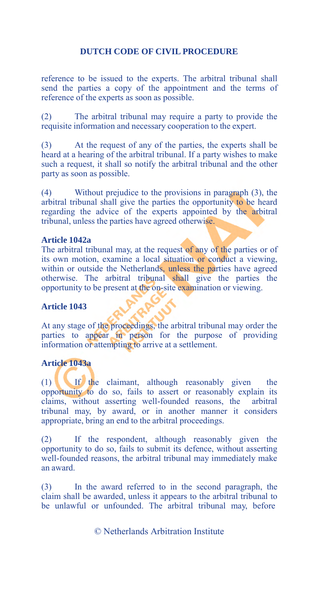reference to be issued to the experts. The arbitral tribunal shall send the parties a copy of the appointment and the terms of reference of the experts as soon as possible.

(2) The arbitral tribunal may require a party to provide the requisite information and necessary cooperation to the expert.

(3) At the request of any of the parties, the experts shall be heard at a hearing of the arbitral tribunal. If a party wishes to make such a request, it shall so notify the arbitral tribunal and the other party as soon as possible.

(4) Without prejudice to the provisions in paragraph (3), the arbitral tribunal shall give the parties the opportunity to be heard regarding the advice of the experts appointed by the arbitral tribunal, unless the parties have agreed otherwise.

#### **Article 1042a**

The arbitral tribunal may, at the request of any of the parties or of its own motion, examine a local situation or conduct a viewing, within or outside the Netherlands, unless the parties have agreed otherwise. The arbitral tribunal shall give the parties the opportunity to be present at the on-site examination or viewing.

#### **Article 1043**

At any stage of the proceedings, the arbitral tribunal may order the parties to appear in person for the purpose of providing information or attempting to arrive at a settlement.

## **Article 1043a**

(1) If the claimant, although reasonably given the opportunity to do so, fails to assert or reasonably explain its claims, without asserting well-founded reasons, the arbitral tribunal may, by award, or in another manner it considers appropriate, bring an end to the arbitral proceedings.

(2) If the respondent, although reasonably given the opportunity to do so, fails to submit its defence, without asserting well-founded reasons, the arbitral tribunal may immediately make an award.

(3) In the award referred to in the second paragraph, the claim shall be awarded, unless it appears to the arbitral tribunal to be unlawful or unfounded. The arbitral tribunal may, before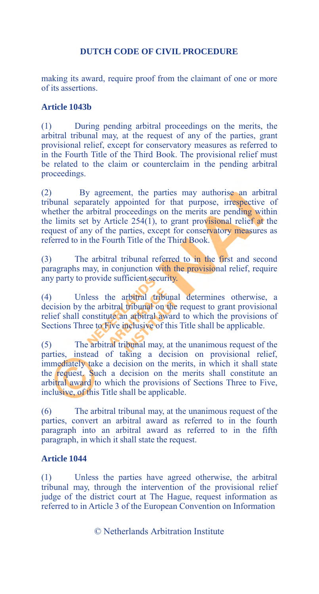making its award, require proof from the claimant of one or more of its assertions.

## **Article 1043b**

(1) During pending arbitral proceedings on the merits, the arbitral tribunal may, at the request of any of the parties, grant provisional relief, except for conservatory measures as referred to in the Fourth Title of the Third Book. The provisional relief must be related to the claim or counterclaim in the pending arbitral proceedings.

(2) By agreement, the parties may authorise an arbitral tribunal separately appointed for that purpose, irrespective of whether the arbitral proceedings on the merits are pending within the limits set by Article  $254(1)$ , to grant provisional relief at the request of any of the parties, except for conservatory measures as referred to in the Fourth Title of the Third Book.

(3) The arbitral tribunal referred to in the first and second paragraphs may, in conjunction with the provisional relief, require any party to provide sufficient security.

(4) Unless the arbitral tribunal determines otherwise, a decision by the arbitral tribunal on the request to grant provisional relief shall constitute an arbitral award to which the provisions of Sections Three to Five inclusive of this Title shall be applicable.

(5) The arbitral tribunal may, at the unanimous request of the parties, instead of taking a decision on provisional relief, immediately take a decision on the merits, in which it shall state the request. Such a decision on the merits shall constitute an arbitral award to which the provisions of Sections Three to Five, inclusive, of this Title shall be applicable.

(6) The arbitral tribunal may, at the unanimous request of the parties, convert an arbitral award as referred to in the fourth paragraph into an arbitral award as referred to in the fifth paragraph, in which it shall state the request.

## **Article 1044**

(1) Unless the parties have agreed otherwise, the arbitral tribunal may, through the intervention of the provisional relief judge of the district court at The Hague, request information as referred to in Article 3 of the European Convention on Information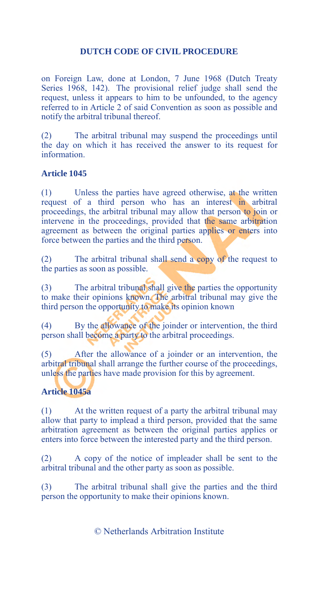on Foreign Law, done at London, 7 June 1968 (Dutch Treaty Series 1968, 142). The provisional relief judge shall send the request, unless it appears to him to be unfounded, to the agency referred to in Article 2 of said Convention as soon as possible and notify the arbitral tribunal thereof.

(2) The arbitral tribunal may suspend the proceedings until the day on which it has received the answer to its request for information.

# **Article 1045**

(1) Unless the parties have agreed otherwise, at the written request of a third person who has an interest in arbitral proceedings, the arbitral tribunal may allow that person to join or intervene in the proceedings, provided that the same arbitration agreement as between the original parties applies or enters into force between the parties and the third person.

(2) The arbitral tribunal shall send a copy of the request to the parties as soon as possible.

(3) The arbitral tribunal shall give the parties the opportunity to make their opinions known. The arbitral tribunal may give the third person the opportunity to make its opinion known

(4) By the allowance of the joinder or intervention, the third person shall become a party to the arbitral proceedings.

(5) After the allowance of a joinder or an intervention, the arbitral tribunal shall arrange the further course of the proceedings, unless the parties have made provision for this by agreement.

# **Article 1045a**

(1) At the written request of a party the arbitral tribunal may allow that party to implead a third person, provided that the same arbitration agreement as between the original parties applies or enters into force between the interested party and the third person.

(2) A copy of the notice of impleader shall be sent to the arbitral tribunal and the other party as soon as possible.

(3) The arbitral tribunal shall give the parties and the third person the opportunity to make their opinions known.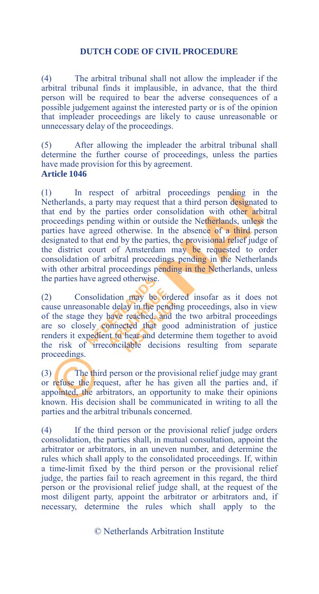(4) The arbitral tribunal shall not allow the impleader if the arbitral tribunal finds it implausible, in advance, that the third person will be required to bear the adverse consequences of a possible judgement against the interested party or is of the opinion that impleader proceedings are likely to cause unreasonable or unnecessary delay of the proceedings.

(5) After allowing the impleader the arbitral tribunal shall determine the further course of proceedings, unless the parties have made provision for this by agreement. **Article 1046**

(1) In respect of arbitral proceedings pending in the Netherlands, a party may request that a third person designated to that end by the parties order consolidation with other arbitral proceedings pending within or outside the Netherlands, unless the parties have agreed otherwise. In the absence of a third person designated to that end by the parties, the provisional relief judge of the district court of Amsterdam may be requested to order consolidation of arbitral proceedings pending in the Netherlands with other arbitral proceedings pending in the Netherlands, unless the parties have agreed otherwise.

(2) Consolidation may be ordered insofar as it does not cause unreasonable delay in the pending proceedings, also in view of the stage they have reached, and the two arbitral proceedings are so closely connected that good administration of justice renders it expedient to hear and determine them together to avoid the risk of irreconcilable decisions resulting from separate proceedings.

(3) The third person or the provisional relief judge may grant or refuse the request, after he has given all the parties and, if appointed, the arbitrators, an opportunity to make their opinions known. His decision shall be communicated in writing to all the parties and the arbitral tribunals concerned.

(4) If the third person or the provisional relief judge orders consolidation, the parties shall, in mutual consultation, appoint the arbitrator or arbitrators, in an uneven number, and determine the rules which shall apply to the consolidated proceedings. If, within a time-limit fixed by the third person or the provisional relief judge, the parties fail to reach agreement in this regard, the third person or the provisional relief judge shall, at the request of the most diligent party, appoint the arbitrator or arbitrators and, if necessary, determine the rules which shall apply to the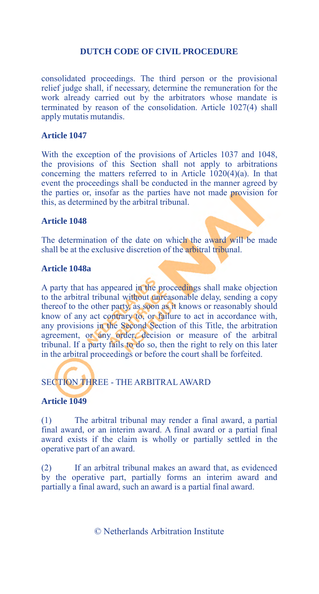consolidated proceedings. The third person or the provisional relief judge shall, if necessary, determine the remuneration for the work already carried out by the arbitrators whose mandate is terminated by reason of the consolidation. Article 1027(4) shall apply mutatis mutandis.

#### **Article 1047**

With the exception of the provisions of Articles 1037 and 1048, the provisions of this Section shall not apply to arbitrations concerning the matters referred to in Article 1020(4)(a). In that event the proceedings shall be conducted in the manner agreed by the parties or, insofar as the parties have not made provision for this, as determined by the arbitral tribunal.

#### **Article 1048**

The determination of the date on which the award will be made shall be at the exclusive discretion of the arbitral tribunal.

#### **Article 1048a**

A party that has appeared in the proceedings shall make objection to the arbitral tribunal without unreasonable delay, sending a copy thereof to the other party, as soon as it knows or reasonably should know of any act contrary to, or failure to act in accordance with, any provisions in the Second Section of this Title, the arbitration agreement, or any order, decision or measure of the arbitral tribunal. If a party fails to do so, then the right to rely on this later in the arbitral proceedings or before the court shall be forfeited.

# SECTION THREE - THE ARBITRAL AWARD

#### **Article 1049**

(1) The arbitral tribunal may render a final award, a partial final award, or an interim award. A final award or a partial final award exists if the claim is wholly or partially settled in the operative part of an award.

(2) If an arbitral tribunal makes an award that, as evidenced by the operative part, partially forms an interim award and partially a final award, such an award is a partial final award.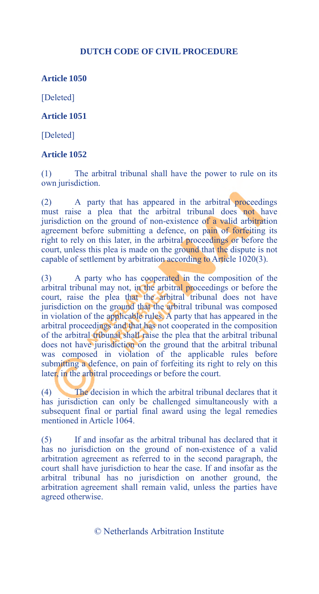**Article 1050** 

[Deleted]

**Article 1051** 

[Deleted]

#### **Article 1052**

(1) The arbitral tribunal shall have the power to rule on its own jurisdiction.

(2) A party that has appeared in the arbitral proceedings must raise a plea that the arbitral tribunal does not have jurisdiction on the ground of non-existence of a valid arbitration agreement before submitting a defence, on pain of forfeiting its right to rely on this later, in the arbitral proceedings or before the court, unless this plea is made on the ground that the dispute is not capable of settlement by arbitration according to Article  $1020(3)$ .

(3) A party who has cooperated in the composition of the arbitral tribunal may not, in the arbitral proceedings or before the court, raise the plea that the arbitral tribunal does not have jurisdiction on the ground that the arbitral tribunal was composed in violation of the applicable rules. A party that has appeared in the arbitral proceedings and that has not cooperated in the composition of the arbitral tribunal shall raise the plea that the arbitral tribunal does not have jurisdiction on the ground that the arbitral tribunal was composed in violation of the applicable rules before submitting a defence, on pain of forfeiting its right to rely on this later, in the arbitral proceedings or before the court.

(4) The decision in which the arbitral tribunal declares that it has jurisdiction can only be challenged simultaneously with a subsequent final or partial final award using the legal remedies mentioned in Article 1064.

(5) If and insofar as the arbitral tribunal has declared that it has no jurisdiction on the ground of non-existence of a valid arbitration agreement as referred to in the second paragraph, the court shall have jurisdiction to hear the case. If and insofar as the arbitral tribunal has no jurisdiction on another ground, the arbitration agreement shall remain valid, unless the parties have agreed otherwise.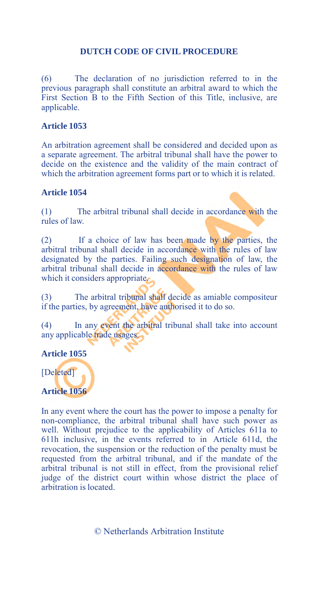(6) The declaration of no jurisdiction referred to in the previous paragraph shall constitute an arbitral award to which the First Section B to the Fifth Section of this Title, inclusive, are applicable.

#### **Article 1053**

An arbitration agreement shall be considered and decided upon as a separate agreement. The arbitral tribunal shall have the power to decide on the existence and the validity of the main contract of which the arbitration agreement forms part or to which it is related.

#### **Article 1054**

(1) The arbitral tribunal shall decide in accordance with the rules of law.

(2) If a choice of law has been made by the parties, the arbitral tribunal shall decide in accordance with the rules of law designated by the parties. Failing such designation of law, the arbitral tribunal shall decide in accordance with the rules of law which it considers appropriate.

(3) The arbitral tribunal shall decide as amiable compositeur if the parties, by agreement, have authorised it to do so.

(4) In any event the arbitral tribunal shall take into account any applicable trade usages.

#### **Article 1055**

[Deleted]

#### **Article 1056**

In any event where the court has the power to impose a penalty for non-compliance, the arbitral tribunal shall have such power as well. Without prejudice to the applicability of Articles 611a to 611h inclusive, in the events referred to in Article 611d, the revocation, the suspension or the reduction of the penalty must be requested from the arbitral tribunal, and if the mandate of the arbitral tribunal is not still in effect, from the provisional relief judge of the district court within whose district the place of arbitration is located.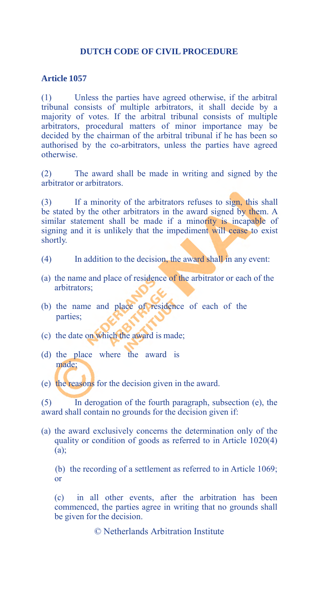## **Article 1057**

(1) Unless the parties have agreed otherwise, if the arbitral tribunal consists of multiple arbitrators, it shall decide by a majority of votes. If the arbitral tribunal consists of multiple arbitrators, procedural matters of minor importance may be decided by the chairman of the arbitral tribunal if he has been so authorised by the co-arbitrators, unless the parties have agreed otherwise.

(2) The award shall be made in writing and signed by the arbitrator or arbitrators.

(3) If a minority of the arbitrators refuses to sign, this shall be stated by the other arbitrators in the award signed by them. A similar statement shall be made if a minority is incapable of signing and it is unlikely that the impediment will cease to exist shortly.

- (4) In addition to the decision, the award shall in any event:
- (a) the name and place of residence of the arbitrator or each of the arbitrators;
- (b) the name and place of residence of each of the parties;
- (c) the date on which the award is made;
- (d) the place where the award is made;
- (e) the reasons for the decision given in the award.

(5) In derogation of the fourth paragraph, subsection (e), the award shall contain no grounds for the decision given if:

(a) the award exclusively concerns the determination only of the quality or condition of goods as referred to in Article 1020(4) (a);

(b) the recording of a settlement as referred to in Article 1069; or

(c) in all other events, after the arbitration has been commenced, the parties agree in writing that no grounds shall be given for the decision.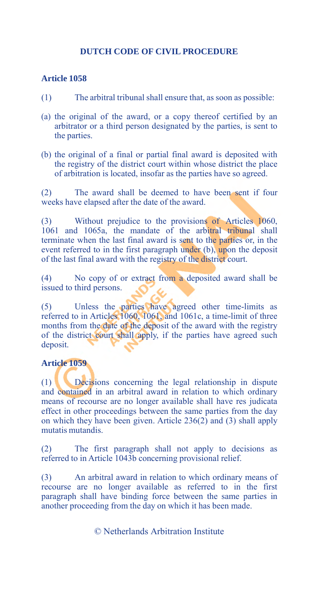#### **Article 1058**

- (1) The arbitral tribunal shall ensure that, as soon as possible:
- (a) the original of the award, or a copy thereof certified by an arbitrator or a third person designated by the parties, is sent to the parties.
- (b) the original of a final or partial final award is deposited with the registry of the district court within whose district the place of arbitration is located, insofar as the parties have so agreed.

(2) The award shall be deemed to have been sent if four weeks have elapsed after the date of the award.

(3) Without prejudice to the provisions of Articles 1060, 1061 and 1065a, the mandate of the arbitral tribunal shall terminate when the last final award is sent to the parties or, in the event referred to in the first paragraph under (b), upon the deposit of the last final award with the registry of the district court.

(4) No copy of or extract from a deposited award shall be issued to third persons.

(5) Unless the parties have agreed other time-limits as referred to in Articles 1060, 1061, and 1061c, a time-limit of three months from the date of the deposit of the award with the registry of the district court shall apply, if the parties have agreed such deposit.

#### **Article 1059**

(1) Decisions concerning the legal relationship in dispute and contained in an arbitral award in relation to which ordinary means of recourse are no longer available shall have res judicata effect in other proceedings between the same parties from the day on which they have been given. Article 236(2) and (3) shall apply mutatis mutandis.

(2) The first paragraph shall not apply to decisions as referred to in Article 1043b concerning provisional relief.

(3) An arbitral award in relation to which ordinary means of recourse are no longer available as referred to in the first paragraph shall have binding force between the same parties in another proceeding from the day on which it has been made.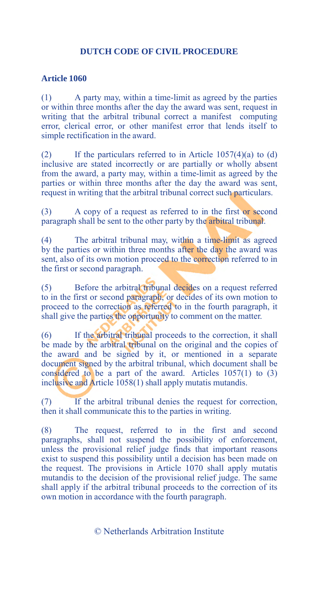## **Article 1060**

(1) A party may, within a time-limit as agreed by the parties or within three months after the day the award was sent, request in writing that the arbitral tribunal correct a manifest computing error, clerical error, or other manifest error that lends itself to simple rectification in the award.

(2) If the particulars referred to in Article  $1057(4)(a)$  to (d) inclusive are stated incorrectly or are partially or wholly absent from the award, a party may, within a time-limit as agreed by the parties or within three months after the day the award was sent, request in writing that the arbitral tribunal correct such particulars.

(3) A copy of a request as referred to in the first or second paragraph shall be sent to the other party by the arbitral tribunal.

(4) The arbitral tribunal may, within a time-limit as agreed by the parties or within three months after the day the award was sent, also of its own motion proceed to the correction referred to in the first or second paragraph.

(5) Before the arbitral tribunal decides on a request referred to in the first or second paragraph, or decides of its own motion to proceed to the correction as referred to in the fourth paragraph, it shall give the parties the opportunity to comment on the matter.

(6) If the arbitral tribunal proceeds to the correction, it shall be made by the arbitral tribunal on the original and the copies of the award and be signed by it, or mentioned in a separate document signed by the arbitral tribunal, which document shall be considered to be a part of the award. Articles 1057(1) to (3) inclusive and Article 1058(1) shall apply mutatis mutandis.

(7) If the arbitral tribunal denies the request for correction, then it shall communicate this to the parties in writing.

(8) The request, referred to in the first and second paragraphs, shall not suspend the possibility of enforcement, unless the provisional relief judge finds that important reasons exist to suspend this possibility until a decision has been made on the request. The provisions in Article 1070 shall apply mutatis mutandis to the decision of the provisional relief judge. The same shall apply if the arbitral tribunal proceeds to the correction of its own motion in accordance with the fourth paragraph.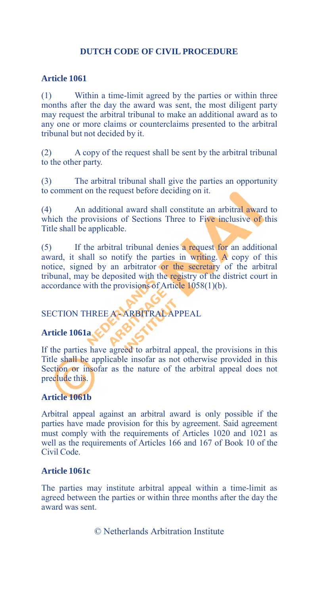## **Article 1061**

(1) Within a time-limit agreed by the parties or within three months after the day the award was sent, the most diligent party may request the arbitral tribunal to make an additional award as to any one or more claims or counterclaims presented to the arbitral tribunal but not decided by it.

(2) A copy of the request shall be sent by the arbitral tribunal to the other party.

(3) The arbitral tribunal shall give the parties an opportunity to comment on the request before deciding on it.

(4) An additional award shall constitute an arbitral award to which the provisions of Sections Three to Five inclusive of this Title shall be applicable.

(5) If the arbitral tribunal denies a request for an additional award, it shall so notify the parties in writing. A copy of this notice, signed by an arbitrator or the secretary of the arbitral tribunal, may be deposited with the registry of the district court in accordance with the provisions of Article 1058(1)(b).

SECTION THREE A - ARBITRAL APPEAL

## **Article 1061a**

If the parties have agreed to arbitral appeal, the provisions in this Title shall be applicable insofar as not otherwise provided in this Section or insofar as the nature of the arbitral appeal does not preclude this.

## **Article 1061b**

Arbitral appeal against an arbitral award is only possible if the parties have made provision for this by agreement. Said agreement must comply with the requirements of Articles 1020 and 1021 as well as the requirements of Articles 166 and 167 of Book 10 of the Civil Code.

## **Article 1061c**

The parties may institute arbitral appeal within a time-limit as agreed between the parties or within three months after the day the award was sent.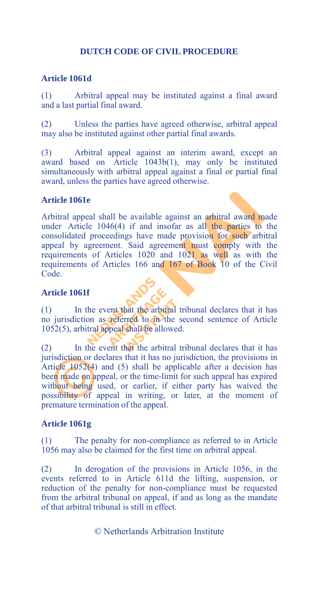## **Article 1061d**

(1) Arbitral appeal may be instituted against a final award and a last partial final award.

(2) Unless the parties have agreed otherwise, arbitral appeal may also be instituted against other partial final awards.

(3) Arbitral appeal against an interim award, except an award based on Article 1043b(1), may only be instituted simultaneously with arbitral appeal against a final or partial final award, unless the parties have agreed otherwise.

## **Article 1061e**

Arbitral appeal shall be available against an arbitral award made under Article 1046(4) if and insofar as all the parties to the consolidated proceedings have made provision for such arbitral appeal by agreement. Said agreement must comply with the requirements of Articles 1020 and 1021 as well as with the requirements of Articles 166 and 167 of Book 10 of the Civil Code.

### **Article 1061f**

(1) In the event that the arbitral tribunal declares that it has no jurisdiction as referred to in the second sentence of Article 1052(5), arbitral appeal shall be allowed.

(2) In the event that the arbitral tribunal declares that it has jurisdiction or declares that it has no jurisdiction, the provisions in Article 1052(4) and (5) shall be applicable after a decision has been made on appeal, or the time-limit for such appeal has expired without being used, or earlier, if either party has waived the possibility of appeal in writing, or later, at the moment of premature termination of the appeal.

#### **Article 1061g**

The penalty for non-compliance as referred to in Article 1056 may also be claimed for the first time on arbitral appeal.

(2) In derogation of the provisions in Article 1056, in the events referred to in Article 611d the lifting, suspension, or reduction of the penalty for non-compliance must be requested from the arbitral tribunal on appeal, if and as long as the mandate of that arbitral tribunal is still in effect.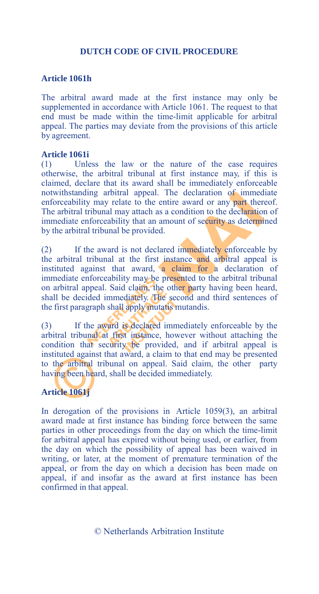## **Article 1061h**

The arbitral award made at the first instance may only be supplemented in accordance with Article 1061. The request to that end must be made within the time-limit applicable for arbitral appeal. The parties may deviate from the provisions of this article by agreement.

#### **Article 1061i**

(1) Unless the law or the nature of the case requires otherwise, the arbitral tribunal at first instance may, if this is claimed, declare that its award shall be immediately enforceable notwithstanding arbitral appeal. The declaration of immediate enforceability may relate to the entire award or any part thereof. The arbitral tribunal may attach as a condition to the declaration of immediate enforceability that an amount of security as determined by the arbitral tribunal be provided.

(2) If the award is not declared immediately enforceable by the arbitral tribunal at the first instance and arbitral appeal is instituted against that award, a claim for a declaration of immediate enforceability may be presented to the arbitral tribunal on arbitral appeal. Said claim, the other party having been heard, shall be decided immediately. The second and third sentences of the first paragraph shall apply mutatis mutandis.

(3) If the award is declared immediately enforceable by the arbitral tribunal at first instance, however without attaching the condition that security be provided, and if arbitral appeal is instituted against that award, a claim to that end may be presented to the arbitral tribunal on appeal. Said claim, the other party having been heard, shall be decided immediately.

## **Article 1061j**

In derogation of the provisions in Article 1059(3), an arbitral award made at first instance has binding force between the same parties in other proceedings from the day on which the time-limit for arbitral appeal has expired without being used, or earlier, from the day on which the possibility of appeal has been waived in writing, or later, at the moment of premature termination of the appeal, or from the day on which a decision has been made on appeal, if and insofar as the award at first instance has been confirmed in that appeal.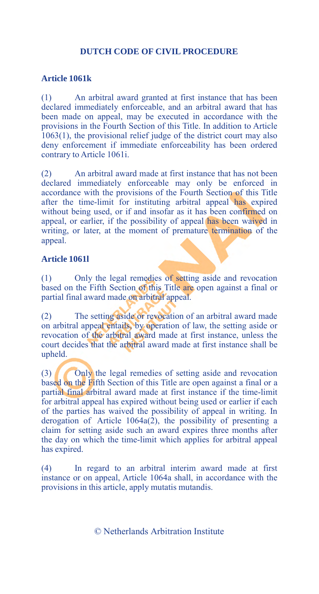## **Article 1061k**

(1) An arbitral award granted at first instance that has been declared immediately enforceable, and an arbitral award that has been made on appeal, may be executed in accordance with the provisions in the Fourth Section of this Title. In addition to Article  $1063(1)$ , the provisional relief judge of the district court may also deny enforcement if immediate enforceability has been ordered contrary to Article 1061i.

(2) An arbitral award made at first instance that has not been declared immediately enforceable may only be enforced in accordance with the provisions of the Fourth Section of this Title after the time-limit for instituting arbitral appeal has expired without being used, or if and insofar as it has been confirmed on appeal, or earlier, if the possibility of appeal has been waived in writing, or later, at the moment of premature termination of the appeal.

#### **Article 1061l**

(1) Only the legal remedies of setting aside and revocation based on the Fifth Section of this Title are open against a final or partial final award made on arbitral appeal.

(2) The setting aside or revocation of an arbitral award made on arbitral appeal entails, by operation of law, the setting aside or revocation of the arbitral award made at first instance, unless the court decides that the arbitral award made at first instance shall be upheld.

(3) Only the legal remedies of setting aside and revocation based on the Fifth Section of this Title are open against a final or a partial final arbitral award made at first instance if the time-limit for arbitral appeal has expired without being used or earlier if each of the parties has waived the possibility of appeal in writing. In derogation of Article 1064a(2), the possibility of presenting a claim for setting aside such an award expires three months after the day on which the time-limit which applies for arbitral appeal has expired.

(4) In regard to an arbitral interim award made at first instance or on appeal, Article 1064a shall, in accordance with the provisions in this article, apply mutatis mutandis.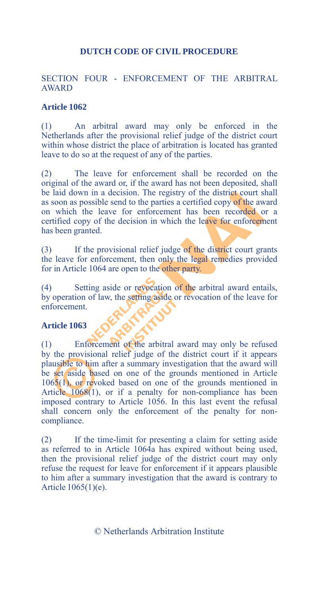## SECTION FOUR - ENFORCEMENT OF THE ARBITRAL **AWARD**

#### **Article 1062**

(1) An arbitral award may only be enforced in the Netherlands after the provisional relief judge of the district court within whose district the place of arbitration is located has granted leave to do so at the request of any of the parties.

(2) The leave for enforcement shall be recorded on the original of the award or, if the award has not been deposited, shall be laid down in a decision. The registry of the district court shall as soon as possible send to the parties a certified copy of the award on which the leave for enforcement has been recorded or a certified copy of the decision in which the leave for enforcement has been granted.

(3) If the provisional relief judge of the district court grants the leave for enforcement, then only the legal remedies provided for in Article 1064 are open to the other party.

(4) Setting aside or revocation of the arbitral award entails, by operation of law, the setting aside or revocation of the leave for enforcement.

#### **Article 1063**

(1) Enforcement of the arbitral award may only be refused by the provisional relief judge of the district court if it appears plausible to him after a summary investigation that the award will be set aside based on one of the grounds mentioned in Article 1065(1), or revoked based on one of the grounds mentioned in Article 1068(1), or if a penalty for non-compliance has been imposed contrary to Article 1056. In this last event the refusal shall concern only the enforcement of the penalty for noncompliance.

(2) If the time-limit for presenting a claim for setting aside as referred to in Article 1064a has expired without being used, then the provisional relief judge of the district court may only refuse the request for leave for enforcement if it appears plausible to him after a summary investigation that the award is contrary to Article 1065(1)(e).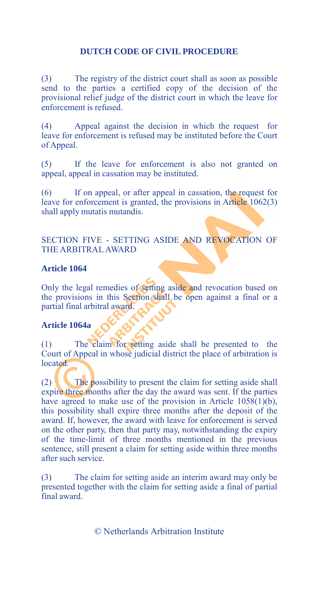(3) The registry of the district court shall as soon as possible send to the parties a certified copy of the decision of the provisional relief judge of the district court in which the leave for enforcement is refused.

(4) Appeal against the decision in which the request for leave for enforcement is refused may be instituted before the Court of Appeal.

(5) If the leave for enforcement is also not granted on appeal, appeal in cassation may be instituted.

(6) If on appeal, or after appeal in cassation, the request for leave for enforcement is granted, the provisions in Article 1062(3) shall apply mutatis mutandis.

# SECTION FIVE - SETTING ASIDE AND REVOCATION OF THE ARBITRAL AWARD

#### **Article 1064**

Only the legal remedies of setting aside and revocation based on the provisions in this Section shall be open against a final or a partial final arbitral award.

## **Article 1064a**

(1) The claim for setting aside shall be presented to the Court of Appeal in whose judicial district the place of arbitration is located.

(2) The possibility to present the claim for setting aside shall expire three months after the day the award was sent. If the parties have agreed to make use of the provision in Article 1058(1)(b), this possibility shall expire three months after the deposit of the award. If, however, the award with leave for enforcement is served on the other party, then that party may, notwithstanding the expiry of the time-limit of three months mentioned in the previous sentence, still present a claim for setting aside within three months after such service.

(3) The claim for setting aside an interim award may only be presented together with the claim for setting aside a final of partial final award.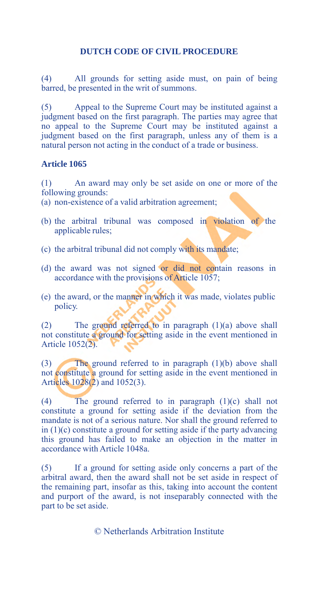(4) All grounds for setting aside must, on pain of being barred, be presented in the writ of summons.

(5) Appeal to the Supreme Court may be instituted against a judgment based on the first paragraph. The parties may agree that no appeal to the Supreme Court may be instituted against a judgment based on the first paragraph, unless any of them is a natural person not acting in the conduct of a trade or business.

#### **Article 1065**

(1) An award may only be set aside on one or more of the following grounds:

- (a) non-existence of a valid arbitration agreement;
- (b) the arbitral tribunal was composed in violation of the applicable rules;
- (c) the arbitral tribunal did not comply with its mandate;
- (d) the award was not signed or did not contain reasons in accordance with the provisions of Article 1057;
- (e) the award, or the manner in which it was made, violates public policy.

(2) The ground referred to in paragraph (1)(a) above shall not constitute a ground for setting aside in the event mentioned in Article 1052(2).

(3) The ground referred to in paragraph (1)(b) above shall not constitute a ground for setting aside in the event mentioned in Articles 1028(2) and 1052(3).

(4) The ground referred to in paragraph (1)(c) shall not constitute a ground for setting aside if the deviation from the mandate is not of a serious nature. Nor shall the ground referred to in (1)(c) constitute a ground for setting aside if the party advancing this ground has failed to make an objection in the matter in accordance with Article 1048a.

(5) If a ground for setting aside only concerns a part of the arbitral award, then the award shall not be set aside in respect of the remaining part, insofar as this, taking into account the content and purport of the award, is not inseparably connected with the part to be set aside.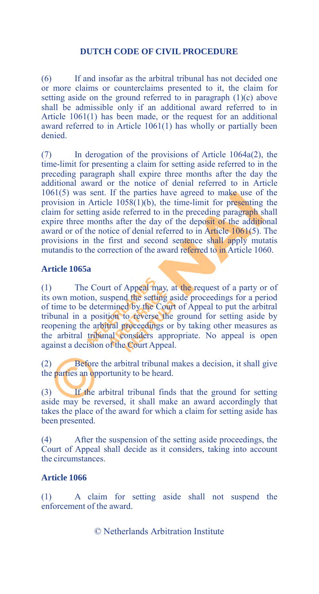(6) If and insofar as the arbitral tribunal has not decided one or more claims or counterclaims presented to it, the claim for setting aside on the ground referred to in paragraph  $(1)(c)$  above shall be admissible only if an additional award referred to in Article 1061(1) has been made, or the request for an additional award referred to in Article 1061(1) has wholly or partially been denied.

(7) In derogation of the provisions of Article 1064a(2), the time-limit for presenting a claim for setting aside referred to in the preceding paragraph shall expire three months after the day the additional award or the notice of denial referred to in Article 1061(5) was sent. If the parties have agreed to make use of the provision in Article  $1058(1)(b)$ , the time-limit for presenting the claim for setting aside referred to in the preceding paragraph shall expire three months after the day of the deposit of the additional award or of the notice of denial referred to in Article 1061(5). The provisions in the first and second sentence shall apply mutatis mutandis to the correction of the award referred to in Article 1060.

#### **Article 1065a**

(1) The Court of Appeal may, at the request of a party or of its own motion, suspend the setting aside proceedings for a period of time to be determined by the Court of Appeal to put the arbitral tribunal in a position to reverse the ground for setting aside by reopening the arbitral proceedings or by taking other measures as the arbitral tribunal considers appropriate. No appeal is open against a decision of the Court Appeal.

(2) Before the arbitral tribunal makes a decision, it shall give the parties an opportunity to be heard.

(3) If the arbitral tribunal finds that the ground for setting aside may be reversed, it shall make an award accordingly that takes the place of the award for which a claim for setting aside has been presented.

(4) After the suspension of the setting aside proceedings, the Court of Appeal shall decide as it considers, taking into account the circumstances.

## **Article 1066**

(1) A claim for setting aside shall not suspend the enforcement of the award.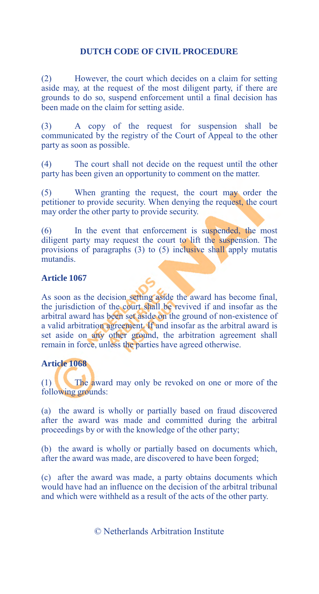(2) However, the court which decides on a claim for setting aside may, at the request of the most diligent party, if there are grounds to do so, suspend enforcement until a final decision has been made on the claim for setting aside.

(3) A copy of the request for suspension shall be communicated by the registry of the Court of Appeal to the other party as soon as possible.

(4) The court shall not decide on the request until the other party has been given an opportunity to comment on the matter.

(5) When granting the request, the court may order the petitioner to provide security. When denying the request, the court may order the other party to provide security.

(6) In the event that enforcement is suspended, the most diligent party may request the court to lift the suspension. The provisions of paragraphs (3) to (5) inclusive shall apply mutatis mutandis.

## **Article 1067**

As soon as the decision setting aside the award has become final, the jurisdiction of the court shall be revived if and insofar as the arbitral award has been set aside on the ground of non-existence of a valid arbitration agreement. If and insofar as the arbitral award is set aside on any other ground, the arbitration agreement shall remain in force, unless the parties have agreed otherwise.

#### **Article 1068**

(1) The award may only be revoked on one or more of the following grounds:

(a) the award is wholly or partially based on fraud discovered after the award was made and committed during the arbitral proceedings by or with the knowledge of the other party;

(b) the award is wholly or partially based on documents which, after the award was made, are discovered to have been forged;

(c) after the award was made, a party obtains documents which would have had an influence on the decision of the arbitral tribunal and which were withheld as a result of the acts of the other party.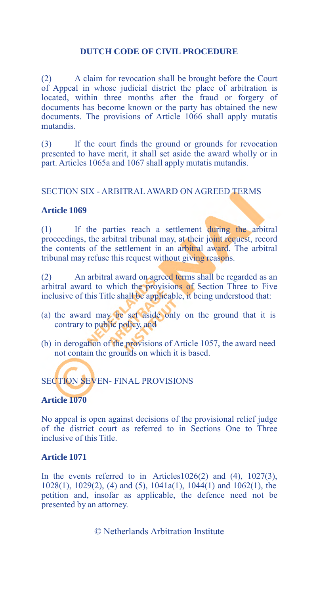(2) A claim for revocation shall be brought before the Court of Appeal in whose judicial district the place of arbitration is located, within three months after the fraud or forgery of documents has become known or the party has obtained the new documents. The provisions of Article 1066 shall apply mutatis mutandis.

(3) If the court finds the ground or grounds for revocation presented to have merit, it shall set aside the award wholly or in part. Articles 1065a and 1067 shall apply mutatis mutandis.

#### SECTION SIX - ARBITRAL AWARD ON AGREED TERMS

#### **Article 1069**

(1) If the parties reach a settlement during the arbitral proceedings, the arbitral tribunal may, at their joint request, record the contents of the settlement in an arbitral award. The arbitral tribunal may refuse this request without giving reasons.

(2) An arbitral award on agreed terms shall be regarded as an arbitral award to which the provisions of Section Three to Five inclusive of this Title shall be applicable, it being understood that:

- (a) the award may be set aside only on the ground that it is contrary to public policy, and
- (b) in derogation of the provisions of Article 1057, the award need not contain the grounds on which it is based.

# SECTION SEVEN- FINAL PROVISIONS

#### **Article 1070**

No appeal is open against decisions of the provisional relief judge of the district court as referred to in Sections One to Three inclusive of this Title.

#### **Article 1071**

In the events referred to in Articles1026(2) and  $(4)$ , 1027(3), 1028(1), 1029(2), (4) and (5), 1041a(1), 1044(1) and 1062(1), the petition and, insofar as applicable, the defence need not be presented by an attorney.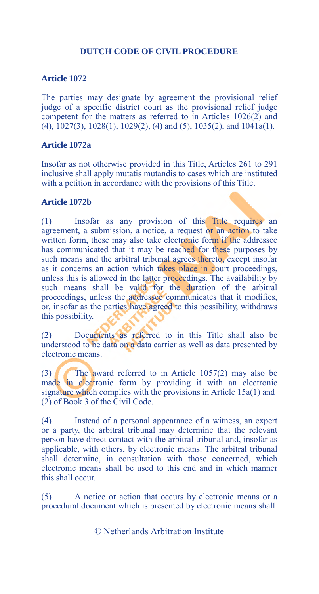#### **Article 1072**

The parties may designate by agreement the provisional relief judge of a specific district court as the provisional relief judge competent for the matters as referred to in Articles 1026(2) and (4), 1027(3), 1028(1), 1029(2), (4) and (5), 1035(2), and 1041a(1).

#### **Article 1072a**

Insofar as not otherwise provided in this Title, Articles 261 to 291 inclusive shall apply mutatis mutandis to cases which are instituted with a petition in accordance with the provisions of this Title.

#### **Article 1072b**

(1) Insofar as any provision of this Title requires an agreement, a submission, a notice, a request or an action to take written form, these may also take electronic form if the addressee has communicated that it may be reached for these purposes by such means and the arbitral tribunal agrees thereto, except insofar as it concerns an action which takes place in court proceedings, unless this is allowed in the latter proceedings. The availability by such means shall be valid for the duration of the arbitral proceedings, unless the addressee communicates that it modifies, or, insofar as the parties have agreed to this possibility, withdraws this possibility.

(2) Documents as referred to in this Title shall also be understood to be data on a data carrier as well as data presented by electronic means.

(3) The award referred to in Article  $1057(2)$  may also be made in electronic form by providing it with an electronic signature which complies with the provisions in Article 15a(1) and (2) of Book 3 of the Civil Code.

(4) Instead of a personal appearance of a witness, an expert or a party, the arbitral tribunal may determine that the relevant person have direct contact with the arbitral tribunal and, insofar as applicable, with others, by electronic means. The arbitral tribunal shall determine, in consultation with those concerned, which electronic means shall be used to this end and in which manner this shall occur.

(5) A notice or action that occurs by electronic means or a procedural document which is presented by electronic means shall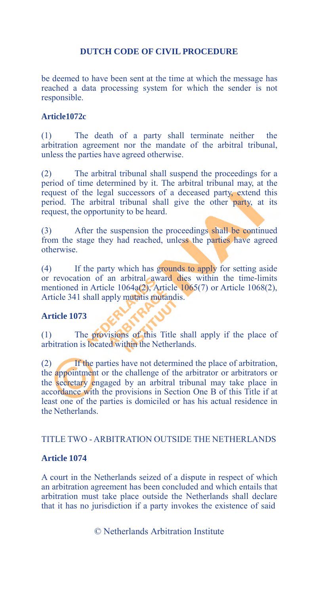be deemed to have been sent at the time at which the message has reached a data processing system for which the sender is not responsible.

## **Article1072c**

(1) The death of a party shall terminate neither the arbitration agreement nor the mandate of the arbitral tribunal, unless the parties have agreed otherwise.

(2) The arbitral tribunal shall suspend the proceedings for a period of time determined by it. The arbitral tribunal may, at the request of the legal successors of a deceased party, extend this period. The arbitral tribunal shall give the other party, at its request, the opportunity to be heard.

(3) After the suspension the proceedings shall be continued from the stage they had reached, unless the parties have agreed otherwise.

(4) If the party which has grounds to apply for setting aside or revocation of an arbitral award dies within the time-limits mentioned in Article 1064a(2), Article 1065(7) or Article 1068(2), Article 341 shall apply mutatis mutandis.

## **Article 1073**

(1) The provisions of this Title shall apply if the place of arbitration is located within the Netherlands.

(2) If the parties have not determined the place of arbitration, the appointment or the challenge of the arbitrator or arbitrators or the secretary engaged by an arbitral tribunal may take place in accordance with the provisions in Section One B of this Title if at least one of the parties is domiciled or has his actual residence in the Netherlands.

#### TITLE TWO - ARBITRATION OUTSIDE THE NETHERLANDS

#### **Article 1074**

A court in the Netherlands seized of a dispute in respect of which an arbitration agreement has been concluded and which entails that arbitration must take place outside the Netherlands shall declare that it has no jurisdiction if a party invokes the existence of said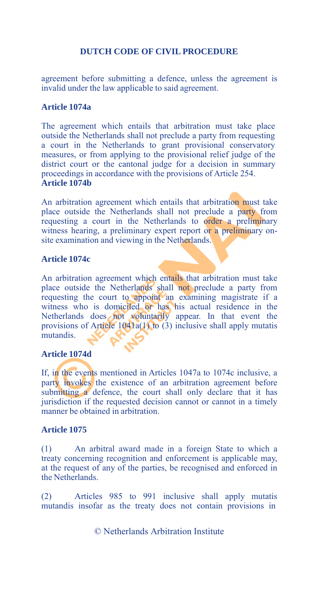agreement before submitting a defence, unless the agreement is invalid under the law applicable to said agreement.

#### **Article 1074a**

The agreement which entails that arbitration must take place outside the Netherlands shall not preclude a party from requesting a court in the Netherlands to grant provisional conservatory measures, or from applying to the provisional relief judge of the district court or the cantonal judge for a decision in summary proceedings in accordance with the provisions of Article 254. **Article 1074b**

An arbitration agreement which entails that arbitration must take place outside the Netherlands shall not preclude a party from requesting a court in the Netherlands to order a preliminary witness hearing, a preliminary expert report or a preliminary onsite examination and viewing in the Netherlands.

# **Article 1074c**

An arbitration agreement which entails that arbitration must take place outside the Netherlands shall not preclude a party from requesting the court to appoint an examining magistrate if a witness who is domiciled or has his actual residence in the Netherlands does not voluntarily appear. In that event the provisions of Article 1041a(1) to (3) inclusive shall apply mutatis mutandis.

#### **Article 1074d**

If, in the events mentioned in Articles 1047a to 1074c inclusive, a party invokes the existence of an arbitration agreement before submitting a defence, the court shall only declare that it has jurisdiction if the requested decision cannot or cannot in a timely manner be obtained in arbitration.

#### **Article 1075**

(1) An arbitral award made in a foreign State to which a treaty concerning recognition and enforcement is applicable may, at the request of any of the parties, be recognised and enforced in the Netherlands.

(2) Articles 985 to 991 inclusive shall apply mutatis mutandis insofar as the treaty does not contain provisions in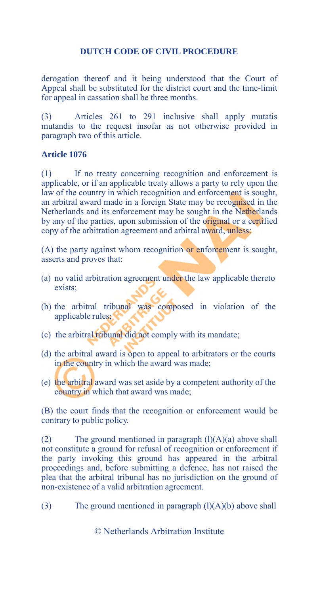derogation thereof and it being understood that the Court of Appeal shall be substituted for the district court and the time-limit for appeal in cassation shall be three months.

(3) Articles 261 to 291 inclusive shall apply mutatis mutandis to the request insofar as not otherwise provided in paragraph two of this article.

#### **Article 1076**

(1) If no treaty concerning recognition and enforcement is applicable, or if an applicable treaty allows a party to rely upon the law of the country in which recognition and enforcement is sought, an arbitral award made in a foreign State may be recognised in the Netherlands and its enforcement may be sought in the Netherlands by any of the parties, upon submission of the original or a certified copy of the arbitration agreement and arbitral award, unless:

(A) the party against whom recognition or enforcement is sought, asserts and proves that:

- (a) no valid arbitration agreement under the law applicable thereto exists;
- (b) the arbitral tribunal was composed in violation of the applicable rules;
- (c) the arbitral tribunal did not comply with its mandate;
- (d) the arbitral award is open to appeal to arbitrators or the courts in the country in which the award was made;
- (e) the arbitral award was set aside by a competent authority of the country in which that award was made;

(B) the court finds that the recognition or enforcement would be contrary to public policy.

(2) The ground mentioned in paragraph  $(l)(A)(a)$  above shall not constitute a ground for refusal of recognition or enforcement if the party invoking this ground has appeared in the arbitral proceedings and, before submitting a defence, has not raised the plea that the arbitral tribunal has no jurisdiction on the ground of non-existence of a valid arbitration agreement.

(3) The ground mentioned in paragraph  $(l)(A)(b)$  above shall